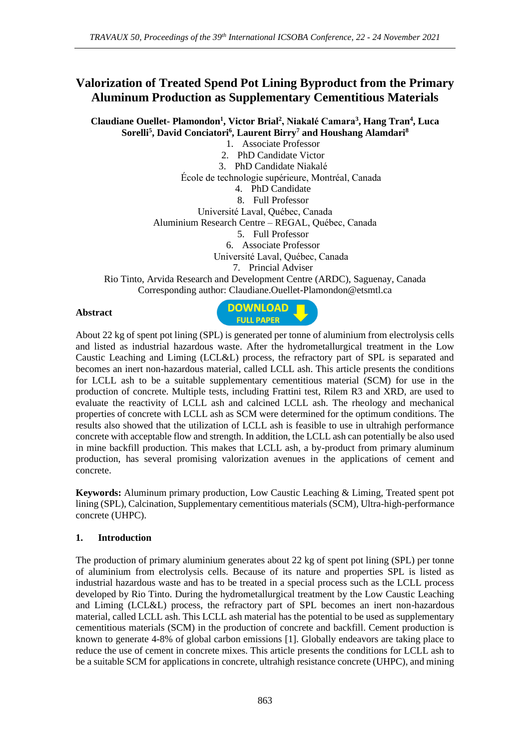# **Valorization of Treated Spend Pot Lining Byproduct from the Primary Aluminum Production as Supplementary Cementitious Materials**

**Claudiane Ouellet- Plamondon<sup>1</sup> , Victor Brial<sup>2</sup> , Niakalé Camara<sup>3</sup> , Hang Tran<sup>4</sup> , Luca Sorelli<sup>5</sup> , David Conciatori<sup>6</sup> , Laurent Birry<sup>7</sup> and Houshang Alamdari<sup>8</sup>**

1. Associate Professor 2. PhD Candidate Victor 3. PhD Candidate Niakalé École de technologie supérieure, Montréal, Canada 4. PhD Candidate 8. Full Professor Université Laval, Québec, Canada Aluminium Research Centre – REGAL, Québec, Canada 5. Full Professor 6. Associate Professor Université Laval, Québec, Canada 7. Princial Adviser Rio Tinto, Arvida Research and Development Centre (ARDC), Saguenay, Canada Corresponding author: Claudiane.Ouellet-Plamondon@etsmtl.ca

#### **Abstract**



About 22 kg of spent pot lining (SPL) is generated per tonne of aluminium from electrolysis cells and listed as industrial hazardous waste. After the hydrometallurgical treatment in the Low Caustic Leaching and Liming (LCL&L) process, the refractory part of SPL is separated and becomes an inert non-hazardous material, called LCLL ash. This article presents the conditions for LCLL ash to be a suitable supplementary cementitious material (SCM) for use in the production of concrete. Multiple tests, including Frattini test, Rilem R3 and XRD, are used to evaluate the reactivity of LCLL ash and calcined LCLL ash. The rheology and mechanical properties of concrete with LCLL ash as SCM were determined for the optimum conditions. The results also showed that the utilization of LCLL ash is feasible to use in ultrahigh performance concrete with acceptable flow and strength. In addition, the LCLL ash can potentially be also used in mine backfill production. This makes that LCLL ash, a by-product from primary aluminum production, has several promising valorization avenues in the applications of cement and concrete.

**Keywords:** Aluminum primary production, Low Caustic Leaching & Liming, Treated spent pot lining (SPL), Calcination, Supplementary cementitious materials (SCM), Ultra-high-performance concrete (UHPC).

#### **1. Introduction**

The production of primary aluminium generates about 22 kg of spent pot lining (SPL) per tonne of aluminium from electrolysis cells. Because of its nature and properties SPL is listed as industrial hazardous waste and has to be treated in a special process such as the LCLL process developed by Rio Tinto. During the hydrometallurgical treatment by the Low Caustic Leaching and Liming (LCL&L) process, the refractory part of SPL becomes an inert non-hazardous material, called LCLL ash. This LCLL ash material has the potential to be used as supplementary cementitious materials (SCM) in the production of concrete and backfill. Cement production is known to generate 4-8% of global carbon emissions [1]. Globally endeavors are taking place to reduce the use of cement in concrete mixes. This article presents the conditions for LCLL ash to be a suitable SCM for applications in concrete, ultrahigh resistance concrete (UHPC), and mining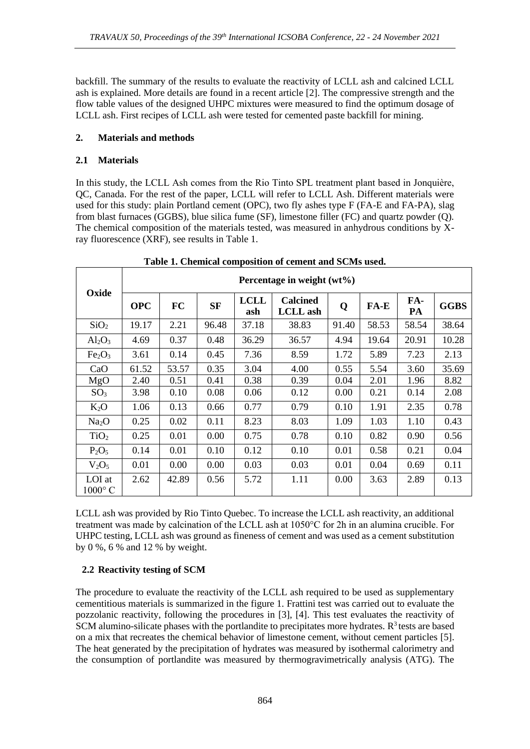backfill. The summary of the results to evaluate the reactivity of LCLL ash and calcined LCLL ash is explained. More details are found in a recent article [2]. The compressive strength and the flow table values of the designed UHPC mixtures were measured to find the optimum dosage of LCLL ash. First recipes of LCLL ash were tested for cemented paste backfill for mining.

### **2. Materials and methods**

### **2.1 Materials**

In this study, the LCLL Ash comes from the Rio Tinto SPL treatment plant based in Jonquière, QC, Canada. For the rest of the paper, LCLL will refer to LCLL Ash. Different materials were used for this study: plain Portland cement (OPC), two fly ashes type F (FA-E and FA-PA), slag from blast furnaces (GGBS), blue silica fume (SF), limestone filler (FC) and quartz powder (Q). The chemical composition of the materials tested, was measured in anhydrous conditions by Xray fluorescence (XRF), see results in Table 1.

| Oxide                          | Percentage in weight $(wt\%)$ |           |           |                    |                                    |       |        |           |             |
|--------------------------------|-------------------------------|-----------|-----------|--------------------|------------------------------------|-------|--------|-----------|-------------|
|                                | <b>OPC</b>                    | <b>FC</b> | <b>SF</b> | <b>LCLL</b><br>ash | <b>Calcined</b><br><b>LCLL</b> ash | Q     | $FA-E$ | FA-<br>PA | <b>GGBS</b> |
| SiO <sub>2</sub>               | 19.17                         | 2.21      | 96.48     | 37.18              | 38.83                              | 91.40 | 58.53  | 58.54     | 38.64       |
| $Al_2O_3$                      | 4.69                          | 0.37      | 0.48      | 36.29              | 36.57                              | 4.94  | 19.64  | 20.91     | 10.28       |
| Fe <sub>2</sub> O <sub>3</sub> | 3.61                          | 0.14      | 0.45      | 7.36               | 8.59                               | 1.72  | 5.89   | 7.23      | 2.13        |
| CaO                            | 61.52                         | 53.57     | 0.35      | 3.04               | 4.00                               | 0.55  | 5.54   | 3.60      | 35.69       |
| MgO                            | 2.40                          | 0.51      | 0.41      | 0.38               | 0.39                               | 0.04  | 2.01   | 1.96      | 8.82        |
| SO <sub>3</sub>                | 3.98                          | 0.10      | 0.08      | 0.06               | 0.12                               | 0.00  | 0.21   | 0.14      | 2.08        |
| $K_2O$                         | 1.06                          | 0.13      | 0.66      | 0.77               | 0.79                               | 0.10  | 1.91   | 2.35      | 0.78        |
| Na <sub>2</sub> O              | 0.25                          | 0.02      | 0.11      | 8.23               | 8.03                               | 1.09  | 1.03   | 1.10      | 0.43        |
| TiO <sub>2</sub>               | 0.25                          | 0.01      | 0.00      | 0.75               | 0.78                               | 0.10  | 0.82   | 0.90      | 0.56        |
| $P_2O_5$                       | 0.14                          | 0.01      | 0.10      | 0.12               | 0.10                               | 0.01  | 0.58   | 0.21      | 0.04        |
| $V_2O_5$                       | 0.01                          | 0.00      | 0.00      | 0.03               | 0.03                               | 0.01  | 0.04   | 0.69      | 0.11        |
| LOI at<br>$1000^{\circ}$ C     | 2.62                          | 42.89     | 0.56      | 5.72               | 1.11                               | 0.00  | 3.63   | 2.89      | 0.13        |

|  | Table 1. Chemical composition of cement and SCMs used. |
|--|--------------------------------------------------------|
|--|--------------------------------------------------------|

LCLL ash was provided by Rio Tinto Quebec. To increase the LCLL ash reactivity, an additional treatment was made by calcination of the LCLL ash at 1050°C for 2h in an alumina crucible. For UHPC testing, LCLL ash was ground as fineness of cement and was used as a cement substitution by 0 %, 6 % and 12 % by weight.

## **2.2 Reactivity testing of SCM**

The procedure to evaluate the reactivity of the LCLL ash required to be used as supplementary cementitious materials is summarized in the figure 1. Frattini test was carried out to evaluate the pozzolanic reactivity, following the procedures in [3], [4]. This test evaluates the reactivity of SCM alumino-silicate phases with the portlandite to precipitates more hydrates.  $R<sup>3</sup>$  tests are based on a mix that recreates the chemical behavior of limestone cement, without cement particles [5]. The heat generated by the precipitation of hydrates was measured by isothermal calorimetry and the consumption of portlandite was measured by thermogravimetrically analysis (ATG). The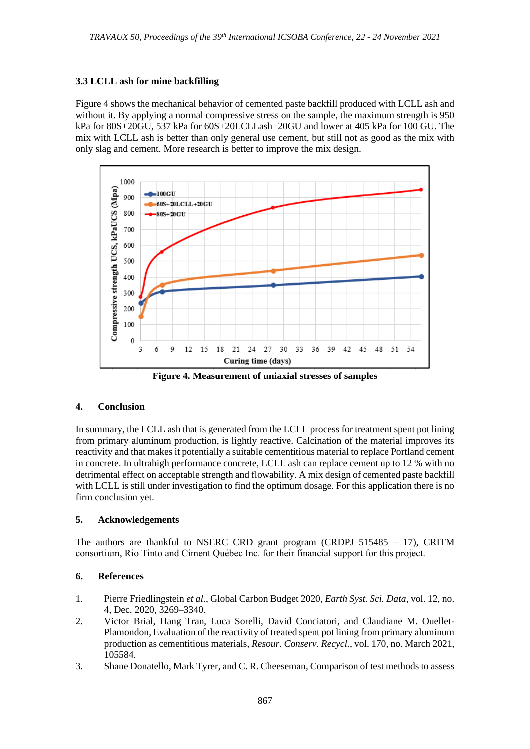### **3.3 LCLL ash for mine backfilling**

Figure 4 shows the mechanical behavior of cemented paste backfill produced with LCLL ash and without it. By applying a normal compressive stress on the sample, the maximum strength is 950 kPa for 80S+20GU, 537 kPa for 60S+20LCLLash+20GU and lower at 405 kPa for 100 GU. The mix with LCLL ash is better than only general use cement, but still not as good as the mix with only slag and cement. More research is better to improve the mix design.



**Figure 4. Measurement of uniaxial stresses of samples**

## **4. Conclusion**

In summary, the LCLL ash that is generated from the LCLL process for treatment spent pot lining from primary aluminum production, is lightly reactive. Calcination of the material improves its reactivity and that makes it potentially a suitable cementitious material to replace Portland cement in concrete. In ultrahigh performance concrete, LCLL ash can replace cement up to 12 % with no detrimental effect on acceptable strength and flowability. A mix design of cemented paste backfill with LCLL is still under investigation to find the optimum dosage. For this application there is no firm conclusion yet.

#### **5. Acknowledgements**

The authors are thankful to NSERC CRD grant program (CRDPJ  $515485 - 17$ ), CRITM consortium, Rio Tinto and Ciment Québec Inc. for their financial support for this project.

## **6. References**

- 1. Pierre Friedlingstein *et al.*, Global Carbon Budget 2020, *Earth Syst. Sci. Data*, vol. 12, no. 4, Dec. 2020, 3269–3340.
- 2. Victor Brial, Hang Tran, Luca Sorelli, David Conciatori, and Claudiane M. Ouellet-Plamondon, Evaluation of the reactivity of treated spent pot lining from primary aluminum production as cementitious materials, *Resour. Conserv. Recycl.*, vol. 170, no. March 2021, 105584.
- 3. Shane Donatello, Mark Tyrer, and C. R. Cheeseman, Comparison of test methods to assess